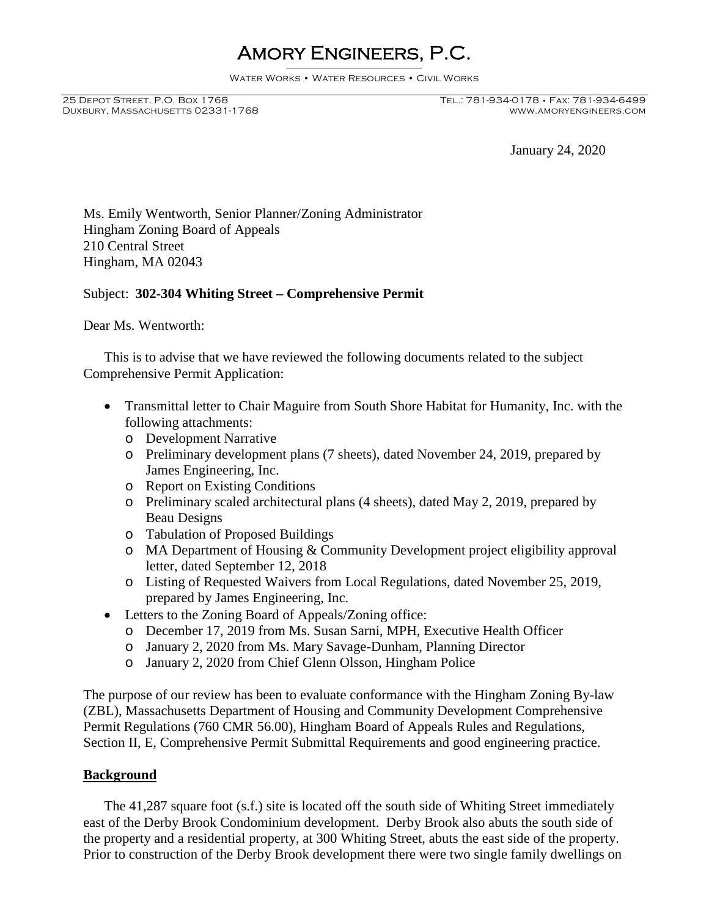# Amory Engineers, P.C.

Water Works • Water Resources • Civil Works

Duxbury, Massachusetts 02331-1768

January 24, 2020

Ms. Emily Wentworth, Senior Planner/Zoning Administrator Hingham Zoning Board of Appeals 210 Central Street Hingham, MA 02043

#### Subject: **302-304 Whiting Street – Comprehensive Permit**

Dear Ms. Wentworth:

This is to advise that we have reviewed the following documents related to the subject Comprehensive Permit Application:

- Transmittal letter to Chair Maguire from South Shore Habitat for Humanity, Inc. with the following attachments:
	- o Development Narrative
	- o Preliminary development plans (7 sheets), dated November 24, 2019, prepared by James Engineering, Inc.
	- o Report on Existing Conditions
	- o Preliminary scaled architectural plans (4 sheets), dated May 2, 2019, prepared by Beau Designs
	- o Tabulation of Proposed Buildings
	- o MA Department of Housing & Community Development project eligibility approval letter, dated September 12, 2018
	- o Listing of Requested Waivers from Local Regulations, dated November 25, 2019, prepared by James Engineering, Inc.
- Letters to the Zoning Board of Appeals/Zoning office:
	- o December 17, 2019 from Ms. Susan Sarni, MPH, Executive Health Officer
	- o January 2, 2020 from Ms. Mary Savage-Dunham, Planning Director
	- o January 2, 2020 from Chief Glenn Olsson, Hingham Police

The purpose of our review has been to evaluate conformance with the Hingham Zoning By-law (ZBL), Massachusetts Department of Housing and Community Development Comprehensive Permit Regulations (760 CMR 56.00), Hingham Board of Appeals Rules and Regulations, Section II, E, Comprehensive Permit Submittal Requirements and good engineering practice.

#### **Background**

The 41,287 square foot (s.f.) site is located off the south side of Whiting Street immediately east of the Derby Brook Condominium development. Derby Brook also abuts the south side of the property and a residential property, at 300 Whiting Street, abuts the east side of the property. Prior to construction of the Derby Brook development there were two single family dwellings on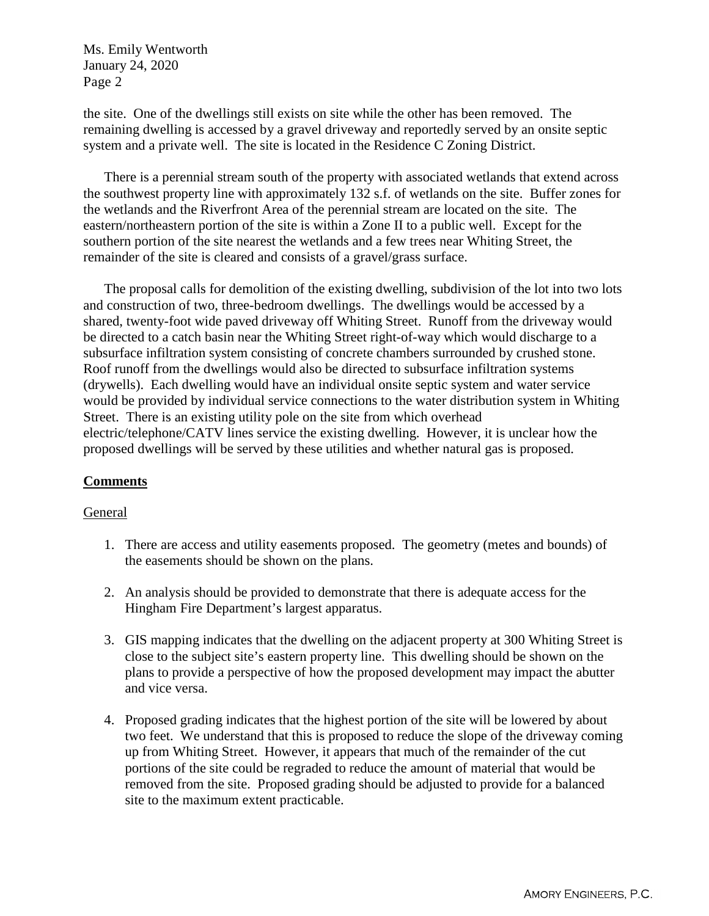the site. One of the dwellings still exists on site while the other has been removed. The remaining dwelling is accessed by a gravel driveway and reportedly served by an onsite septic system and a private well. The site is located in the Residence C Zoning District.

There is a perennial stream south of the property with associated wetlands that extend across the southwest property line with approximately 132 s.f. of wetlands on the site. Buffer zones for the wetlands and the Riverfront Area of the perennial stream are located on the site. The eastern/northeastern portion of the site is within a Zone II to a public well. Except for the southern portion of the site nearest the wetlands and a few trees near Whiting Street, the remainder of the site is cleared and consists of a gravel/grass surface.

The proposal calls for demolition of the existing dwelling, subdivision of the lot into two lots and construction of two, three-bedroom dwellings. The dwellings would be accessed by a shared, twenty-foot wide paved driveway off Whiting Street. Runoff from the driveway would be directed to a catch basin near the Whiting Street right-of-way which would discharge to a subsurface infiltration system consisting of concrete chambers surrounded by crushed stone. Roof runoff from the dwellings would also be directed to subsurface infiltration systems (drywells). Each dwelling would have an individual onsite septic system and water service would be provided by individual service connections to the water distribution system in Whiting Street. There is an existing utility pole on the site from which overhead electric/telephone/CATV lines service the existing dwelling. However, it is unclear how the proposed dwellings will be served by these utilities and whether natural gas is proposed.

# **Comments**

# General

- 1. There are access and utility easements proposed. The geometry (metes and bounds) of the easements should be shown on the plans.
- 2. An analysis should be provided to demonstrate that there is adequate access for the Hingham Fire Department's largest apparatus.
- 3. GIS mapping indicates that the dwelling on the adjacent property at 300 Whiting Street is close to the subject site's eastern property line. This dwelling should be shown on the plans to provide a perspective of how the proposed development may impact the abutter and vice versa.
- 4. Proposed grading indicates that the highest portion of the site will be lowered by about two feet. We understand that this is proposed to reduce the slope of the driveway coming up from Whiting Street. However, it appears that much of the remainder of the cut portions of the site could be regraded to reduce the amount of material that would be removed from the site. Proposed grading should be adjusted to provide for a balanced site to the maximum extent practicable.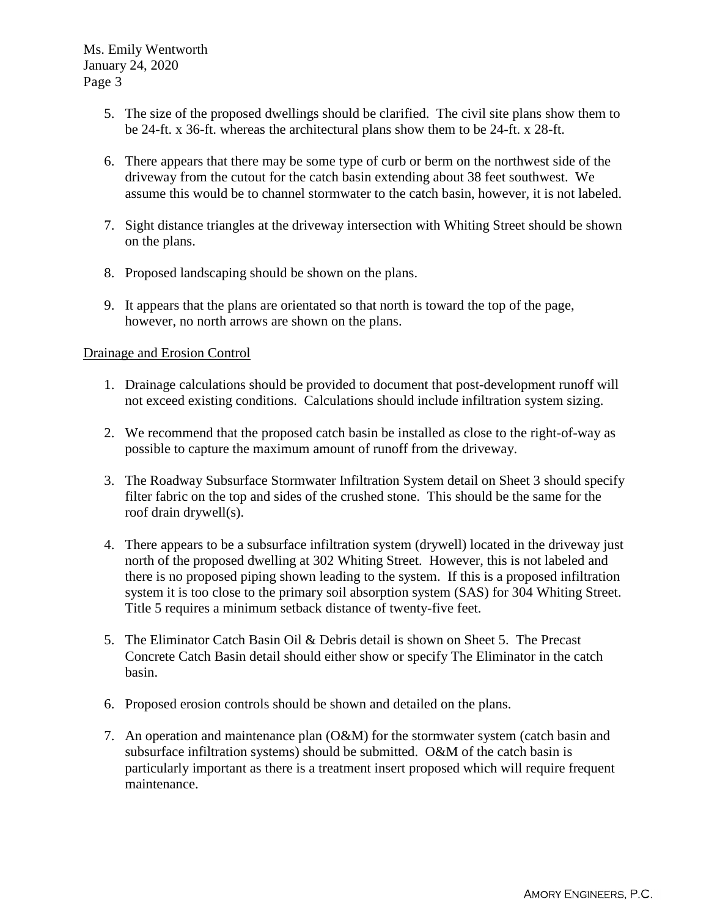- 5. The size of the proposed dwellings should be clarified. The civil site plans show them to be 24-ft. x 36-ft. whereas the architectural plans show them to be 24-ft. x 28-ft.
- 6. There appears that there may be some type of curb or berm on the northwest side of the driveway from the cutout for the catch basin extending about 38 feet southwest. We assume this would be to channel stormwater to the catch basin, however, it is not labeled.
- 7. Sight distance triangles at the driveway intersection with Whiting Street should be shown on the plans.
- 8. Proposed landscaping should be shown on the plans.
- 9. It appears that the plans are orientated so that north is toward the top of the page, however, no north arrows are shown on the plans.

#### Drainage and Erosion Control

- 1. Drainage calculations should be provided to document that post-development runoff will not exceed existing conditions. Calculations should include infiltration system sizing.
- 2. We recommend that the proposed catch basin be installed as close to the right-of-way as possible to capture the maximum amount of runoff from the driveway.
- 3. The Roadway Subsurface Stormwater Infiltration System detail on Sheet 3 should specify filter fabric on the top and sides of the crushed stone. This should be the same for the roof drain drywell(s).
- 4. There appears to be a subsurface infiltration system (drywell) located in the driveway just north of the proposed dwelling at 302 Whiting Street. However, this is not labeled and there is no proposed piping shown leading to the system. If this is a proposed infiltration system it is too close to the primary soil absorption system (SAS) for 304 Whiting Street. Title 5 requires a minimum setback distance of twenty-five feet.
- 5. The Eliminator Catch Basin Oil & Debris detail is shown on Sheet 5. The Precast Concrete Catch Basin detail should either show or specify The Eliminator in the catch basin.
- 6. Proposed erosion controls should be shown and detailed on the plans.
- 7. An operation and maintenance plan (O&M) for the stormwater system (catch basin and subsurface infiltration systems) should be submitted. O&M of the catch basin is particularly important as there is a treatment insert proposed which will require frequent maintenance.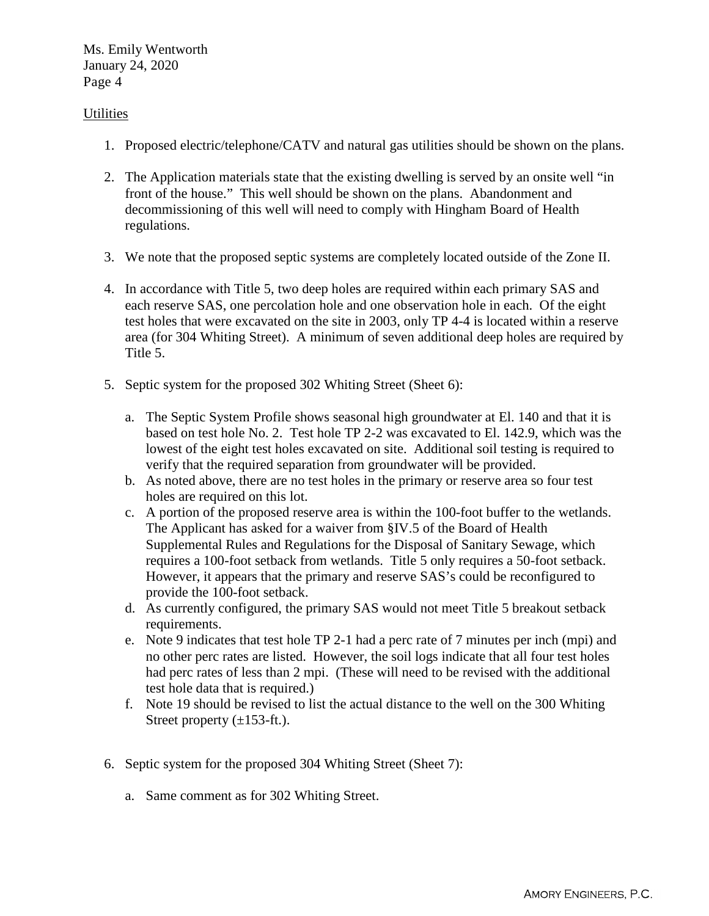# Utilities

- 1. Proposed electric/telephone/CATV and natural gas utilities should be shown on the plans.
- 2. The Application materials state that the existing dwelling is served by an onsite well "in front of the house." This well should be shown on the plans. Abandonment and decommissioning of this well will need to comply with Hingham Board of Health regulations.
- 3. We note that the proposed septic systems are completely located outside of the Zone II.
- 4. In accordance with Title 5, two deep holes are required within each primary SAS and each reserve SAS, one percolation hole and one observation hole in each. Of the eight test holes that were excavated on the site in 2003, only TP 4-4 is located within a reserve area (for 304 Whiting Street). A minimum of seven additional deep holes are required by Title 5.
- 5. Septic system for the proposed 302 Whiting Street (Sheet 6):
	- a. The Septic System Profile shows seasonal high groundwater at El. 140 and that it is based on test hole No. 2. Test hole TP 2-2 was excavated to El. 142.9, which was the lowest of the eight test holes excavated on site. Additional soil testing is required to verify that the required separation from groundwater will be provided.
	- b. As noted above, there are no test holes in the primary or reserve area so four test holes are required on this lot.
	- c. A portion of the proposed reserve area is within the 100-foot buffer to the wetlands. The Applicant has asked for a waiver from §IV.5 of the Board of Health Supplemental Rules and Regulations for the Disposal of Sanitary Sewage, which requires a 100-foot setback from wetlands. Title 5 only requires a 50-foot setback. However, it appears that the primary and reserve SAS's could be reconfigured to provide the 100-foot setback.
	- d. As currently configured, the primary SAS would not meet Title 5 breakout setback requirements.
	- e. Note 9 indicates that test hole TP 2-1 had a perc rate of 7 minutes per inch (mpi) and no other perc rates are listed. However, the soil logs indicate that all four test holes had perc rates of less than 2 mpi. (These will need to be revised with the additional test hole data that is required.)
	- f. Note 19 should be revised to list the actual distance to the well on the 300 Whiting Street property  $(\pm 153$ -ft.).
- 6. Septic system for the proposed 304 Whiting Street (Sheet 7):
	- a. Same comment as for 302 Whiting Street.